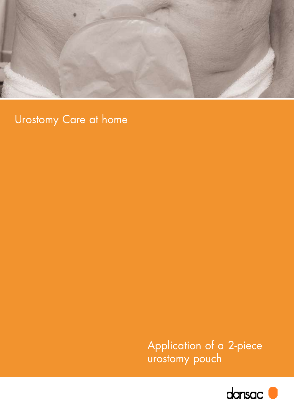

Urostomy Care at home

Application of a 2-piece urostomy pouch

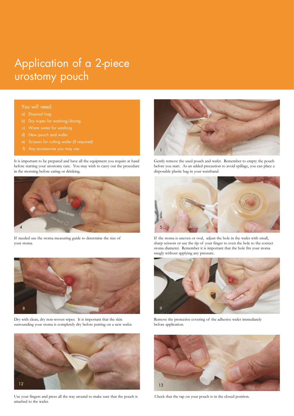## Application of a 2-piece urostomy pouch

#### You will need:

- a) Disposal bag
- b) Dry wipes for washing/drying
- 
- 
- e) Scissors for cutting wafer (if required)
- 

It is important to be prepared and have all the equipment you require at hand before starting your urostomy care. You may wish to carry out the procedure in the morning before eating or drinking.



If needed use the stoma measuring guide to determine the size of your stoma.



Dry with clean, dry non-woven wipes. It is important that the skin surrounding your stoma is completely dry before putting on a new wafer.



Use your fingers and press all the way around to make sure that the pouch is Check that the tap on your pouch is in the closed position. attached to the wafer.



Gently remove the used pouch and wafer. Remember to empty the pouch before you start. As an added precaution to avoid spillage, you can place a disposable plastic bag in your waistband.



If the stoma is uneven or oval, adjust the hole in the wafer with small, sharp scissors or use the tip of your finger to even the hole to the correct stoma diameter. Remember it is important that the hole fits your stoma snugly without applying any pressure.

![](_page_1_Picture_19.jpeg)

Remove the protective covering of the adhesive wafer immediately before application.

![](_page_1_Picture_21.jpeg)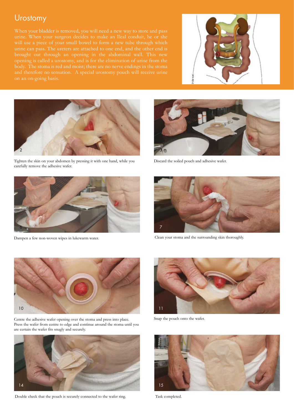### **Urostomy**

![](_page_2_Picture_2.jpeg)

![](_page_2_Picture_3.jpeg)

Tighten the skin on your abdomen by pressing it with one hand, while you carefully remove the adhesive wafer.

![](_page_2_Picture_5.jpeg)

Discard the soiled pouch and adhesive wafer.

![](_page_2_Picture_7.jpeg)

![](_page_2_Picture_9.jpeg)

Dampen a few non-woven wipes in lukewarm water. Clean your stoma and the surrounding skin thoroughly.

![](_page_2_Picture_11.jpeg)

Centre the adhesive wafer opening over the stoma and press into place. Press the wafer from centre to edge and continue around the stoma until you are certain the wafer fits snugly and securely.

![](_page_2_Picture_13.jpeg)

Double check that the pouch is securely connected to the wafer ring.

![](_page_2_Picture_15.jpeg)

Snap the pouch onto the wafer.

![](_page_2_Picture_17.jpeg)

Task completed.